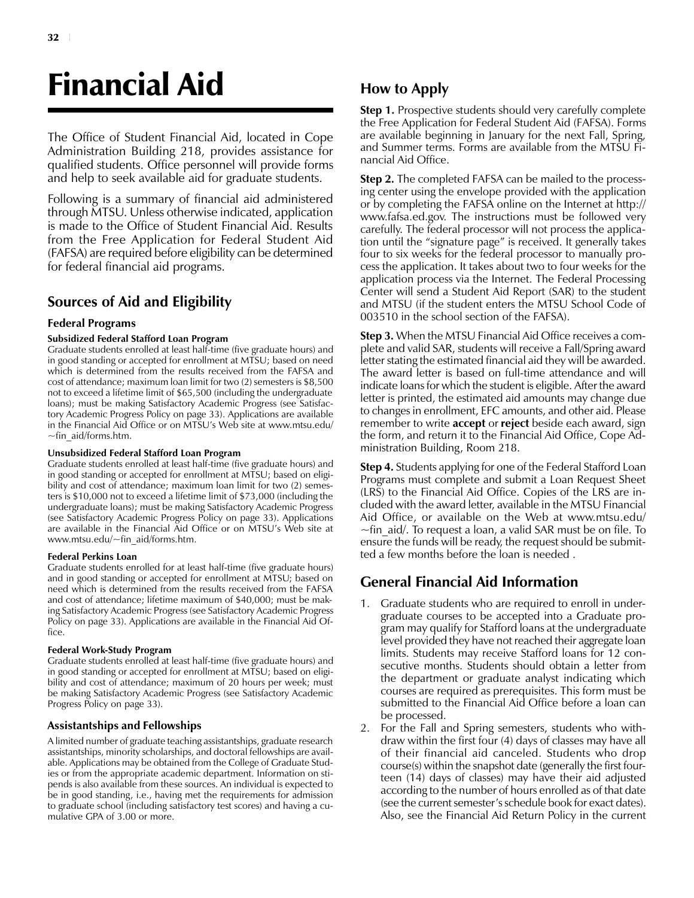# Financial Aid

The Office of Student Financial Aid, located in Cope Administration Building 218, provides assistance for qualified students. Office personnel will provide forms and help to seek available aid for graduate students.

Following is a summary of financial aid administered through MTSU. Unless otherwise indicated, application is made to the Office of Student Financial Aid. Results from the Free Application for Federal Student Aid (FAFSA) are required before eligibility can be determined for federal financial aid programs.

# Sources of Aid and Eligibility

# Federal Programs

# Subsidized Federal Stafford Loan Program

Graduate students enrolled at least half-time (five graduate hours) and in good standing or accepted for enrollment at MTSU; based on need which is determined from the results received from the FAFSA and cost of attendance; maximum loan limit for two (2) semesters is \$8,500 not to exceed a lifetime limit of \$65,500 (including the undergraduate loans); must be making Satisfactory Academic Progress (see Satisfactory Academic Progress Policy on page 33). Applications are available in the Financial Aid Office or on MTSU's Web site at www.mtsu.edu/ ~fin\_aid/forms.htm.

## Unsubsidized Federal Stafford Loan Program

Graduate students enrolled at least half-time (five graduate hours) and in good standing or accepted for enrollment at MTSU; based on eligibility and cost of attendance; maximum loan limit for two (2) semesters is \$10,000 not to exceed a lifetime limit of \$73,000 (including the undergraduate loans); must be making Satisfactory Academic Progress (see Satisfactory Academic Progress Policy on page 33). Applications are available in the Financial Aid Office or on MTSU's Web site at www.mtsu.edu/~fin\_aid/forms.htm.

## Federal Perkins Loan

Graduate students enrolled for at least half-time (five graduate hours) and in good standing or accepted for enrollment at MTSU; based on need which is determined from the results received from the FAFSA and cost of attendance; lifetime maximum of \$40,000; must be making Satisfactory Academic Progress (see Satisfactory Academic Progress Policy on page 33). Applications are available in the Financial Aid Office.

## Federal Work-Study Program

Graduate students enrolled at least half-time (five graduate hours) and in good standing or accepted for enrollment at MTSU; based on eligibility and cost of attendance; maximum of 20 hours per week; must be making Satisfactory Academic Progress (see Satisfactory Academic Progress Policy on page 33).

# Assistantships and Fellowships

A limited number of graduate teaching assistantships, graduate research assistantships, minority scholarships, and doctoral fellowships are available. Applications may be obtained from the College of Graduate Studies or from the appropriate academic department. Information on stipends is also available from these sources. An individual is expected to be in good standing, i.e., having met the requirements for admission to graduate school (including satisfactory test scores) and having a cumulative GPA of 3.00 or more.

# How to Apply

**Step 1.** Prospective students should very carefully complete the Free Application for Federal Student Aid (FAFSA). Forms are available beginning in January for the next Fall, Spring, and Summer terms. Forms are available from the MTSU Financial Aid Office.

**Step 2.** The completed FAFSA can be mailed to the processing center using the envelope provided with the application or by completing the FAFSA online on the Internet at http:// www.fafsa.ed.gov. The instructions must be followed very carefully. The federal processor will not process the application until the "signature page" is received. It generally takes four to six weeks for the federal processor to manually process the application. It takes about two to four weeks for the application process via the Internet. The Federal Processing Center will send a Student Aid Report (SAR) to the student and MTSU (if the student enters the MTSU School Code of 003510 in the school section of the FAFSA).

Step 3. When the MTSU Financial Aid Office receives a complete and valid SAR, students will receive a Fall/Spring award letter stating the estimated financial aid they will be awarded. The award letter is based on full-time attendance and will indicate loans for which the student is eligible. After the award letter is printed, the estimated aid amounts may change due to changes in enrollment, EFC amounts, and other aid. Please remember to write **accept** or **reject** beside each award, sign the form, and return it to the Financial Aid Office, Cope Administration Building, Room 218.

Step 4. Students applying for one of the Federal Stafford Loan Programs must complete and submit a Loan Request Sheet (LRS) to the Financial Aid Office. Copies of the LRS are included with the award letter, available in the MTSU Financial Aid Office, or available on the Web at www.mtsu.edu/  $\sim$ fin aid/. To request a loan, a valid SAR must be on file. To ensure the funds will be ready, the request should be submitted a few months before the loan is needed .

# General Financial Aid Information

- 1. Graduate students who are required to enroll in undergraduate courses to be accepted into a Graduate program may qualify for Stafford loans at the undergraduate level provided they have not reached their aggregate loan limits. Students may receive Stafford loans for 12 consecutive months. Students should obtain a letter from the department or graduate analyst indicating which courses are required as prerequisites. This form must be submitted to the Financial Aid Office before a loan can be processed.
- 2. For the Fall and Spring semesters, students who withdraw within the first four (4) days of classes may have all of their financial aid canceled. Students who drop course(s) within the snapshot date (generally the first fourteen (14) days of classes) may have their aid adjusted according to the number of hours enrolled as of that date (see the current semester's schedule book for exact dates). Also, see the Financial Aid Return Policy in the current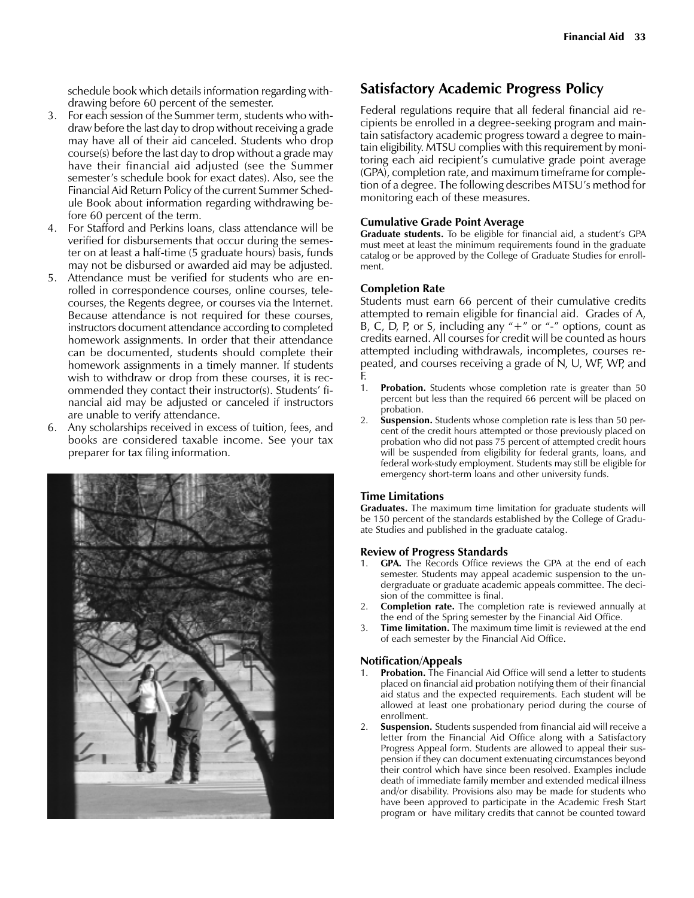schedule book which details information regarding withdrawing before 60 percent of the semester.

- 3. For each session of the Summer term, students who withdraw before the last day to drop without receiving a grade may have all of their aid canceled. Students who drop course(s) before the last day to drop without a grade may have their financial aid adjusted (see the Summer semester's schedule book for exact dates). Also, see the Financial Aid Return Policy of the current Summer Schedule Book about information regarding withdrawing before 60 percent of the term.
- 4. For Stafford and Perkins loans, class attendance will be verified for disbursements that occur during the semester on at least a half-time (5 graduate hours) basis, funds may not be disbursed or awarded aid may be adjusted.
- 5. Attendance must be verified for students who are enrolled in correspondence courses, online courses, telecourses, the Regents degree, or courses via the Internet. Because attendance is not required for these courses, instructors document attendance according to completed homework assignments. In order that their attendance can be documented, students should complete their homework assignments in a timely manner. If students wish to withdraw or drop from these courses, it is recommended they contact their instructor(s). Students' financial aid may be adjusted or canceled if instructors are unable to verify attendance.
- 6. Any scholarships received in excess of tuition, fees, and books are considered taxable income. See your tax preparer for tax filing information.



# Satisfactory Academic Progress Policy

Federal regulations require that all federal financial aid recipients be enrolled in a degree-seeking program and maintain satisfactory academic progress toward a degree to maintain eligibility. MTSU complies with this requirement by monitoring each aid recipient's cumulative grade point average (GPA), completion rate, and maximum timeframe for completion of a degree. The following describes MTSU's method for monitoring each of these measures.

# Cumulative Grade Point Average

Graduate students. To be eligible for financial aid, a student's GPA must meet at least the minimum requirements found in the graduate catalog or be approved by the College of Graduate Studies for enrollment.

## Completion Rate

Students must earn 66 percent of their cumulative credits attempted to remain eligible for financial aid. Grades of A, B, C, D, P, or S, including any " $+$ " or "-" options, count as credits earned. All courses for credit will be counted as hours attempted including withdrawals, incompletes, courses repeated, and courses receiving a grade of N, U, WF, WP, and F.

- 1. **Probation.** Students whose completion rate is greater than 50 percent but less than the required 66 percent will be placed on probation.
- 2. Suspension. Students whose completion rate is less than 50 percent of the credit hours attempted or those previously placed on probation who did not pass 75 percent of attempted credit hours will be suspended from eligibility for federal grants, loans, and federal work-study employment. Students may still be eligible for emergency short-term loans and other university funds.

## Time Limitations

Graduates. The maximum time limitation for graduate students will be 150 percent of the standards established by the College of Graduate Studies and published in the graduate catalog.

## Review of Progress Standards

- 1. **GPA.** The Records Office reviews the GPA at the end of each semester. Students may appeal academic suspension to the undergraduate or graduate academic appeals committee. The decision of the committee is final.
- 2. **Completion rate.** The completion rate is reviewed annually at the end of the Spring semester by the Financial Aid Office.
- 3. Time limitation. The maximum time limit is reviewed at the end of each semester by the Financial Aid Office.

## Notification/Appeals

- Probation. The Financial Aid Office will send a letter to students placed on financial aid probation notifying them of their financial aid status and the expected requirements. Each student will be allowed at least one probationary period during the course of enrollment.
- **Suspension.** Students suspended from financial aid will receive a letter from the Financial Aid Office along with a Satisfactory Progress Appeal form. Students are allowed to appeal their suspension if they can document extenuating circumstances beyond their control which have since been resolved. Examples include death of immediate family member and extended medical illness and/or disability. Provisions also may be made for students who have been approved to participate in the Academic Fresh Start program or have military credits that cannot be counted toward